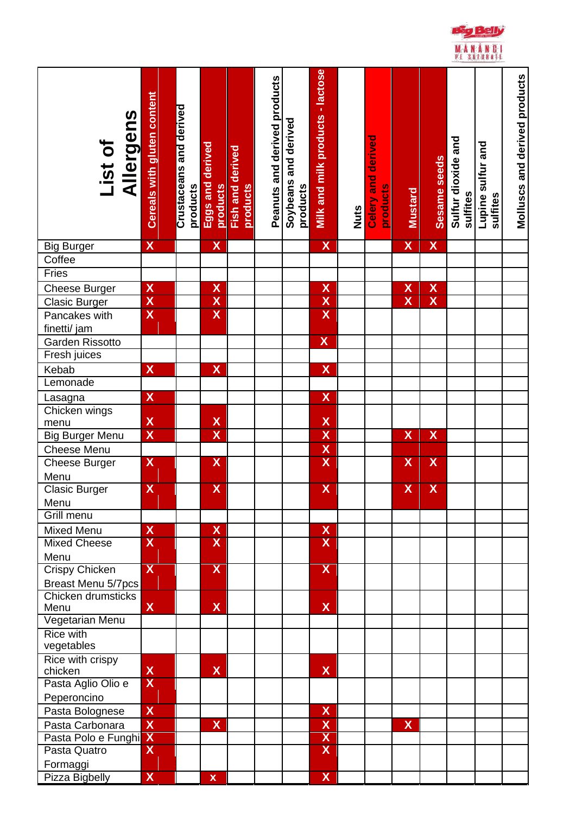

| Allergens<br>List of                            | <b>Cereals with gluten content</b> | Crustaceans and derived<br>products | Eggs and derived<br>products | Fish and derived<br>products | Peanuts and derived products | Soybeans and derived<br>products | Milk and milk products - lactose | <b>Nuts</b> | derived<br>and<br>products<br>Celery | <b>Mustard</b>            | Sesame seeds            | Sulfur dioxide and<br>sulfites | Lupine sulfur and<br>sulfites | <b>Molluscs and derived products</b> |
|-------------------------------------------------|------------------------------------|-------------------------------------|------------------------------|------------------------------|------------------------------|----------------------------------|----------------------------------|-------------|--------------------------------------|---------------------------|-------------------------|--------------------------------|-------------------------------|--------------------------------------|
|                                                 |                                    |                                     |                              |                              |                              |                                  |                                  |             |                                      |                           |                         |                                |                               |                                      |
| <b>Big Burger</b>                               | $\overline{\mathsf{X}}$            |                                     | $\overline{\mathsf{X}}$      |                              |                              |                                  | $\boldsymbol{\mathsf{X}}$        |             |                                      | X                         | $\mathbf{X}$            |                                |                               |                                      |
| Coffee                                          |                                    |                                     |                              |                              |                              |                                  |                                  |             |                                      |                           |                         |                                |                               |                                      |
| Fries                                           |                                    |                                     |                              |                              |                              |                                  |                                  |             |                                      |                           |                         |                                |                               |                                      |
| Cheese Burger                                   | $\boldsymbol{X}$                   |                                     | $\pmb{\mathsf{X}}$           |                              |                              |                                  | $\pmb{\chi}$                     |             |                                      | $\boldsymbol{\mathsf{X}}$ | $\overline{\mathsf{X}}$ |                                |                               |                                      |
| <b>Clasic Burger</b>                            | $\overline{\mathbf{X}}$            |                                     | $\overline{\mathsf{X}}$      |                              |                              |                                  | $\overline{\mathbf{X}}$          |             |                                      | $\overline{\mathsf{x}}$   | $\overline{\mathbf{X}}$ |                                |                               |                                      |
| Pancakes with                                   | $\boldsymbol{\mathsf{X}}$          |                                     | $\overline{\mathsf{X}}$      |                              |                              |                                  | $\overline{\mathsf{x}}$          |             |                                      |                           |                         |                                |                               |                                      |
| finetti/ jam                                    |                                    |                                     |                              |                              |                              |                                  |                                  |             |                                      |                           |                         |                                |                               |                                      |
| <b>Garden Rissotto</b>                          |                                    |                                     |                              |                              |                              |                                  | $\overline{\mathsf{X}}$          |             |                                      |                           |                         |                                |                               |                                      |
| Fresh juices                                    |                                    |                                     |                              |                              |                              |                                  |                                  |             |                                      |                           |                         |                                |                               |                                      |
| Kebab                                           | $\mathsf{X}$                       |                                     | $\overline{\mathsf{X}}$      |                              |                              |                                  | $\overline{\mathsf{X}}$          |             |                                      |                           |                         |                                |                               |                                      |
| Lemonade                                        |                                    |                                     |                              |                              |                              |                                  |                                  |             |                                      |                           |                         |                                |                               |                                      |
| Lasagna                                         | $\boldsymbol{\mathsf{X}}$          |                                     |                              |                              |                              |                                  | $\overline{\mathsf{X}}$          |             |                                      |                           |                         |                                |                               |                                      |
| Chicken wings                                   |                                    |                                     |                              |                              |                              |                                  |                                  |             |                                      |                           |                         |                                |                               |                                      |
| menu                                            | $\mathsf{X}$                       |                                     | $\frac{X}{X}$                |                              |                              |                                  | $\frac{X}{X}$                    |             |                                      |                           |                         |                                |                               |                                      |
| <b>Big Burger Menu</b>                          | $\overline{\mathsf{X}}$            |                                     |                              |                              |                              |                                  |                                  |             |                                      | $\overline{\mathsf{X}}$   | $\overline{\mathsf{X}}$ |                                |                               |                                      |
| Cheese Menu                                     |                                    |                                     |                              |                              |                              |                                  | $\frac{X}{X}$                    |             |                                      |                           |                         |                                |                               |                                      |
| <b>Cheese Burger</b>                            | $\overline{\mathsf{X}}$            |                                     | $\overline{\mathsf{X}}$      |                              |                              |                                  |                                  |             |                                      | $\mathsf{X}$              | $\boldsymbol{X}$        |                                |                               |                                      |
| Menu                                            |                                    |                                     |                              |                              |                              |                                  |                                  |             |                                      |                           |                         |                                |                               |                                      |
| <b>Clasic Burger</b>                            | X                                  |                                     | X                            |                              |                              |                                  | X                                |             |                                      | X                         | X                       |                                |                               |                                      |
| Menu                                            |                                    |                                     |                              |                              |                              |                                  |                                  |             |                                      |                           |                         |                                |                               |                                      |
| Grill menu                                      |                                    |                                     |                              |                              |                              |                                  |                                  |             |                                      |                           |                         |                                |                               |                                      |
| <b>Mixed Menu</b>                               | $\overline{\mathsf{X}}$            |                                     | $\mathsf{X}% _{0}$           |                              |                              |                                  | $\boldsymbol{X}$                 |             |                                      |                           |                         |                                |                               |                                      |
| <b>Mixed Cheese</b>                             | X                                  |                                     | X                            |                              |                              |                                  | X                                |             |                                      |                           |                         |                                |                               |                                      |
| Menu                                            | $\overline{\mathsf{X}}$            |                                     | X                            |                              |                              |                                  | X                                |             |                                      |                           |                         |                                |                               |                                      |
| <b>Crispy Chicken</b>                           |                                    |                                     |                              |                              |                              |                                  |                                  |             |                                      |                           |                         |                                |                               |                                      |
| <b>Breast Menu 5/7pcs</b><br>Chicken drumsticks |                                    |                                     |                              |                              |                              |                                  |                                  |             |                                      |                           |                         |                                |                               |                                      |
| Menu                                            | $\overline{\mathsf{X}}$            |                                     | $\mathsf{X}$                 |                              |                              |                                  | $\mathbf x$                      |             |                                      |                           |                         |                                |                               |                                      |
| Vegetarian Menu                                 |                                    |                                     |                              |                              |                              |                                  |                                  |             |                                      |                           |                         |                                |                               |                                      |
| <b>Rice with</b>                                |                                    |                                     |                              |                              |                              |                                  |                                  |             |                                      |                           |                         |                                |                               |                                      |
| vegetables                                      |                                    |                                     |                              |                              |                              |                                  |                                  |             |                                      |                           |                         |                                |                               |                                      |
| Rice with crispy                                |                                    |                                     |                              |                              |                              |                                  |                                  |             |                                      |                           |                         |                                |                               |                                      |
| chicken                                         | $\mathsf{X}$                       |                                     | $\mathsf{X}$                 |                              |                              |                                  | $\mathbf{X}$                     |             |                                      |                           |                         |                                |                               |                                      |
| Pasta Aglio Olio e                              | $\overline{\mathsf{X}}$            |                                     |                              |                              |                              |                                  |                                  |             |                                      |                           |                         |                                |                               |                                      |
| Peperoncino                                     |                                    |                                     |                              |                              |                              |                                  |                                  |             |                                      |                           |                         |                                |                               |                                      |
| Pasta Bolognese                                 | $\mathsf{X}$                       |                                     |                              |                              |                              |                                  | $\boldsymbol{\mathsf{X}}$        |             |                                      |                           |                         |                                |                               |                                      |
| Pasta Carbonara                                 | $\overline{\mathsf{X}}$            |                                     | $\overline{\mathsf{X}}$      |                              |                              |                                  | $\boldsymbol{\mathsf{X}}$        |             |                                      | $\overline{\mathsf{X}}$   |                         |                                |                               |                                      |
| Pasta Polo e Funghi                             | X                                  |                                     |                              |                              |                              |                                  | $\boldsymbol{X}$                 |             |                                      |                           |                         |                                |                               |                                      |
| Pasta Quatro                                    | X                                  |                                     |                              |                              |                              |                                  | X                                |             |                                      |                           |                         |                                |                               |                                      |
| Formaggi                                        |                                    |                                     |                              |                              |                              |                                  |                                  |             |                                      |                           |                         |                                |                               |                                      |
| Pizza Bigbelly                                  | X                                  |                                     | $\mathbf x$                  |                              |                              |                                  | $\overline{\mathsf{X}}$          |             |                                      |                           |                         |                                |                               |                                      |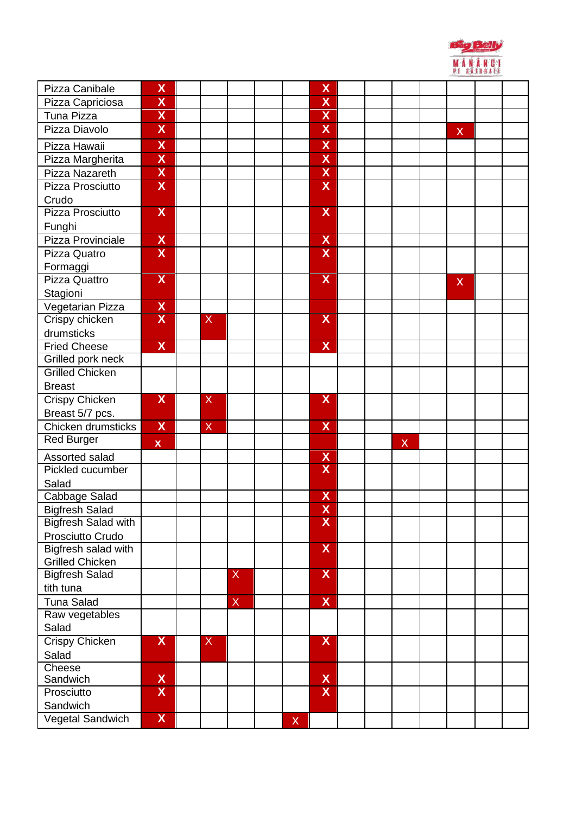|                            |                           |   |              |              |                           |  |              | MANANCI<br><b>E SATURATE</b> |  |  |  |  |
|----------------------------|---------------------------|---|--------------|--------------|---------------------------|--|--------------|------------------------------|--|--|--|--|
| Pizza Canibale             | $\boldsymbol{X}$          |   |              |              | X                         |  |              |                              |  |  |  |  |
| Pizza Capriciosa           | $\overline{\mathsf{X}}$   |   |              |              | X                         |  |              |                              |  |  |  |  |
| Tuna Pizza                 | $\overline{\mathsf{X}}$   |   |              |              | $\overline{\mathsf{X}}$   |  |              |                              |  |  |  |  |
| Pizza Diavolo              | $\boldsymbol{\mathsf{X}}$ |   |              |              | X                         |  |              | $\boldsymbol{\mathsf{X}}$    |  |  |  |  |
| Pizza Hawaii               | $\boldsymbol{\mathsf{X}}$ |   |              |              | $\overline{\mathsf{X}}$   |  |              |                              |  |  |  |  |
| Pizza Margherita           | $\overline{\mathsf{X}}$   |   |              |              | $\overline{\mathsf{X}}$   |  |              |                              |  |  |  |  |
| Pizza Nazareth             | $\boldsymbol{X}$          |   |              |              | $\boldsymbol{\mathsf{X}}$ |  |              |                              |  |  |  |  |
| Pizza Prosciutto           | $\boldsymbol{X}$          |   |              |              | $\overline{\mathsf{X}}$   |  |              |                              |  |  |  |  |
| Crudo                      |                           |   |              |              |                           |  |              |                              |  |  |  |  |
| Pizza Prosciutto           | X                         |   |              |              | X                         |  |              |                              |  |  |  |  |
| Funghi                     |                           |   |              |              |                           |  |              |                              |  |  |  |  |
| Pizza Provinciale          | $\mathsf{X}$              |   |              |              | $\boldsymbol{X}$          |  |              |                              |  |  |  |  |
| Pizza Quatro               | $\boldsymbol{\mathsf{X}}$ |   |              |              | X                         |  |              |                              |  |  |  |  |
| Formaggi                   |                           |   |              |              |                           |  |              |                              |  |  |  |  |
| Pizza Quattro              | $\overline{\mathsf{X}}$   |   |              |              | $\overline{\mathsf{X}}$   |  |              | X                            |  |  |  |  |
| Stagioni                   |                           |   |              |              |                           |  |              |                              |  |  |  |  |
| Vegetarian Pizza           | $\mathbf{X}$              |   |              |              |                           |  |              |                              |  |  |  |  |
| Crispy chicken             | $\boldsymbol{X}$          | X |              |              | $\overline{\mathsf{X}}$   |  |              |                              |  |  |  |  |
| drumsticks                 |                           |   |              |              |                           |  |              |                              |  |  |  |  |
| <b>Fried Cheese</b>        | $\overline{\mathsf{X}}$   |   |              |              | $\overline{\mathsf{X}}$   |  |              |                              |  |  |  |  |
| Grilled pork neck          |                           |   |              |              |                           |  |              |                              |  |  |  |  |
| <b>Grilled Chicken</b>     |                           |   |              |              |                           |  |              |                              |  |  |  |  |
| <b>Breast</b>              |                           |   |              |              |                           |  |              |                              |  |  |  |  |
| <b>Crispy Chicken</b>      | $\overline{\mathsf{X}}$   | X |              |              | $\overline{\mathsf{X}}$   |  |              |                              |  |  |  |  |
| Breast 5/7 pcs.            |                           |   |              |              |                           |  |              |                              |  |  |  |  |
| Chicken drumsticks         | $\mathbf{X}$              | X |              |              | $\boldsymbol{X}$          |  |              |                              |  |  |  |  |
| <b>Red Burger</b>          | $\mathbf x$               |   |              |              |                           |  | $\mathsf{X}$ |                              |  |  |  |  |
| Assorted salad             |                           |   |              |              | $\boldsymbol{\mathsf{X}}$ |  |              |                              |  |  |  |  |
| Pickled cucumber           |                           |   |              |              | X                         |  |              |                              |  |  |  |  |
| Salad                      |                           |   |              |              |                           |  |              |                              |  |  |  |  |
| Cabbage Salad              |                           |   |              |              | X                         |  |              |                              |  |  |  |  |
| <b>Bigfresh Salad</b>      |                           |   |              |              | $\overline{\mathsf{X}}$   |  |              |                              |  |  |  |  |
| <b>Bigfresh Salad with</b> |                           |   |              |              | $\overline{\mathsf{X}}$   |  |              |                              |  |  |  |  |
| Prosciutto Crudo           |                           |   |              |              |                           |  |              |                              |  |  |  |  |
| Bigfresh salad with        |                           |   |              |              | X                         |  |              |                              |  |  |  |  |
| <b>Grilled Chicken</b>     |                           |   |              |              |                           |  |              |                              |  |  |  |  |
| <b>Bigfresh Salad</b>      |                           |   | X            |              | $\overline{\mathsf{X}}$   |  |              |                              |  |  |  |  |
| tith tuna                  |                           |   |              |              |                           |  |              |                              |  |  |  |  |
| <b>Tuna Salad</b>          |                           |   | $\mathsf{X}$ |              | $\mathsf{X}$              |  |              |                              |  |  |  |  |
| Raw vegetables             |                           |   |              |              |                           |  |              |                              |  |  |  |  |
| Salad                      | $\mathbf{X}$              | X |              |              | X                         |  |              |                              |  |  |  |  |
| <b>Crispy Chicken</b>      |                           |   |              |              |                           |  |              |                              |  |  |  |  |
| Salad<br>Cheese            |                           |   |              |              |                           |  |              |                              |  |  |  |  |
| Sandwich                   |                           |   |              |              | X                         |  |              |                              |  |  |  |  |
| Prosciutto                 | $\frac{x}{x}$             |   |              |              | $\overline{\mathsf{X}}$   |  |              |                              |  |  |  |  |
| Sandwich                   |                           |   |              |              |                           |  |              |                              |  |  |  |  |
| Vegetal Sandwich           | $\mathbf{X}$              |   |              | $\mathsf{X}$ |                           |  |              |                              |  |  |  |  |
|                            |                           |   |              |              |                           |  |              |                              |  |  |  |  |

Big Belly